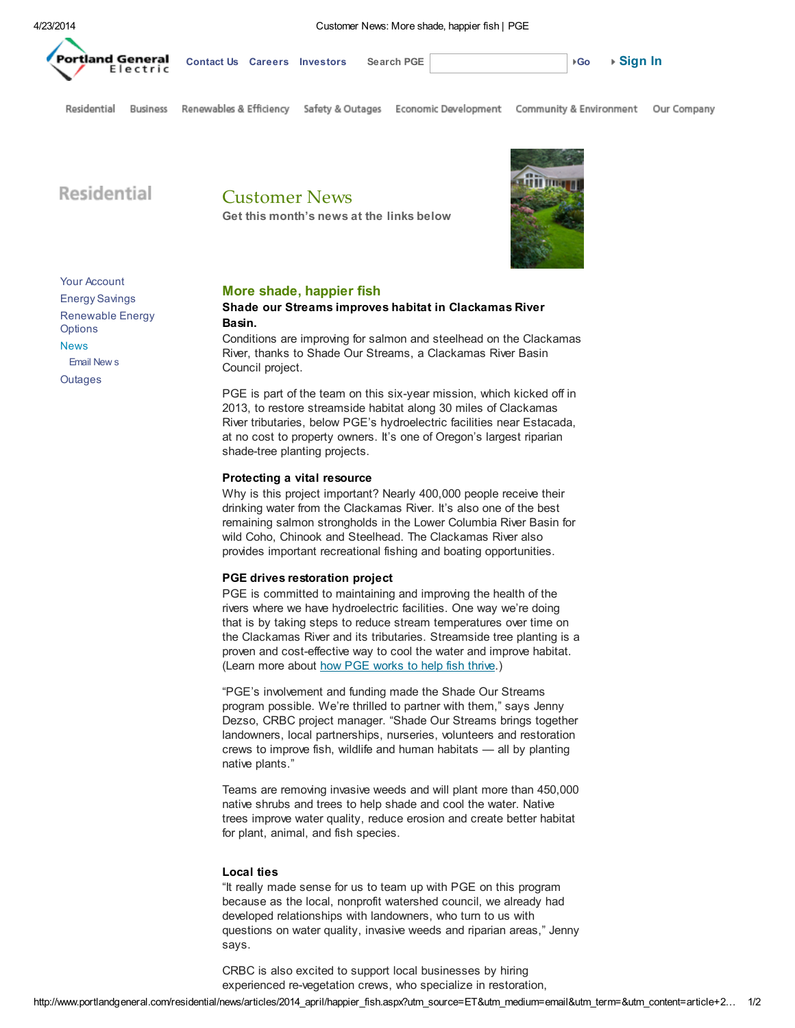

4/23/2014 Customer News: More shade, happier fish | PGE

[Go](javascript: SearchButton_OnClick()) [Contact](http://www.portlandgeneral.com/contact_us/default.aspx) Us [Careers](http://www.portlandgeneral.com/our_company/careers/default.aspx) [Investors](http://investors.portlandgeneral.com/index.cfm) Search PGE Search Washington of the [Sign](http://www.portlandgeneral.com/interstitial.aspx) In

Residential **Business** 

Renewables & Efficiency Safety & Outages

Economic Development Community & Environment

Our Company

Residential

Customer News Get this month's news at the links below



## More shade, happier fish

## Shade our Streams improves habitat in Clackamas River Basin.

Conditions are improving for salmon and steelhead on the Clackamas River, thanks to Shade Our Streams, a Clackamas River Basin Council project.

PGE is part of the team on this six-year mission, which kicked off in 2013, to restore streamside habitat along 30 miles of Clackamas River tributaries, below PGE's hydroelectric facilities near Estacada, at no cost to property owners. It's one of Oregon's largest riparian shade-tree planting projects.

## Protecting a vital resource

Why is this project important? Nearly 400,000 people receive their drinking water from the Clackamas River. It's also one of the best remaining salmon strongholds in the Lower Columbia River Basin for wild Coho, Chinook and Steelhead. The Clackamas River also provides important recreational fishing and boating opportunities.

#### PGE drives restoration project

PGE is committed to maintaining and improving the health of the rivers where we have hydroelectric facilities. One way we're doing that is by taking steps to reduce stream temperatures over time on the Clackamas River and its tributaries. Streamside tree planting is a proven and cost-effective way to cool the water and improve habitat. (Learn more about how PGE [works](http://www.portlandgeneral.com/community_environment/initiatives/protecting_fish/default.aspx) to help fish thrive.)

"PGE's involvement and funding made the Shade Our Streams program possible. We're thrilled to partner with them," says Jenny Dezso, CRBC project manager. "Shade Our Streams brings together landowners, local partnerships, nurseries, volunteers and restoration crews to improve fish, wildlife and human habitats — all by planting native plants."

Teams are removing invasive weeds and will plant more than 450,000 native shrubs and trees to help shade and cool the water. Native trees improve water quality, reduce erosion and create better habitat for plant, animal, and fish species.

## Local ties

"It really made sense for us to team up with PGE on this program because as the local, nonprofit watershed council, we already had developed relationships with landowners, who turn to us with questions on water quality, invasive weeds and riparian areas," Jenny says.

CRBC is also excited to support local businesses by hiring experienced re-vegetation crews, who specialize in restoration,

Your [Account](http://www.portlandgeneral.com/residential/your_account/default.aspx) Energy [Savings](http://www.portlandgeneral.com/residential/energy_savings/default.aspx) [Renewable](http://www.portlandgeneral.com/residential/renewable_energy/default.aspx) Energy **Options** [News](http://www.portlandgeneral.com/residential/news/default.aspx) [Email](http://www.portlandgeneral.com/residential/news/email_newsletter/default.aspx) New s **[Outages](http://www.portlandgeneral.com/safety_outages/outages/default.aspx?accounttype=residential)**